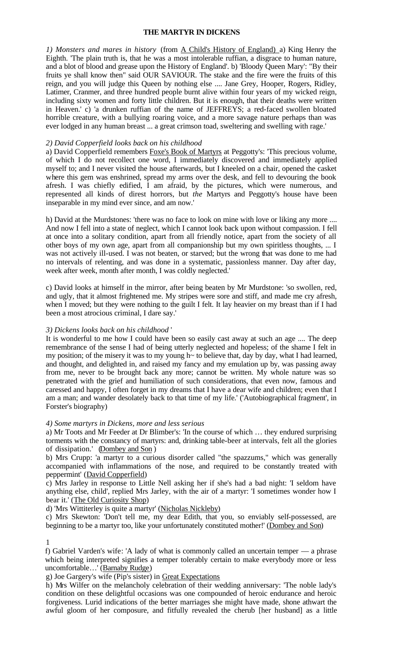#### **THE MARTYR IN DICKENS**

*1) Monsters and mares in history* (from A Child's History of England) a) King Henry the Eighth. 'The plain truth is, that he was a most intolerable ruffian, a disgrace to human nature, and a blot of blood and grease upon the History of England'. b) 'Bloody Queen Mary': "By their fruits ye shall know then" said OUR SAVIOUR. The stake and the fire were the fruits of this reign, and you will judge this Queen by nothing else .... Jane Grey, Hooper, Rogers, Ridley, Latimer, Cranmer, and three hundred people burnt alive within four years of my wicked reign, including sixty women and forty little children. But it is enough, that their deaths were written in Heaven.' c) 'a drunken ruffian of the name of JEFFREYS; a red-faced swollen bloated horrible creature, with a bullying roaring voice, and a more savage nature perhaps than was ever lodged in any human breast ... a great crimson toad, sweltering and swelling with rage.'

### *2) David Copperfield looks back on his childhood*

a) David Copperfield remembers Foxe's Book of Martyrs at Peggotty's: 'This precious volume, of which I do not recollect one word, I immediately discovered and immediately applied myself to; and I never visited the house afterwards, but I kneeled on a chair, opened the casket where this gem was enshrined, spread my arms over the desk, and fell to devouring the book afresh. I was chiefly edified, I am afraid, by the pictures, which were numerous, and represented all kinds of direst horrors, but *the* Martyrs and Peggotty's house have been inseparable in my mind ever since, and am now.'

h) David at the Murdstones: 'there was no face to look on mine with love or liking any more .... And now I fell into a state of neglect, which I cannot look back upon without compassion. I fell at once into a solitary condition, apart from all friendly notice, apart from the society of all other boys of my own age, apart from all companionship but my own spiritless thoughts, ... I was not actively ill-used. I was not beaten, or starved; but the wrong that was done to me had no intervals of relenting, and was done in a systematic, passionless manner. Day after day, week after week, month after month, I was coldly neglected.'

c) David looks at himself in the mirror, after being beaten by Mr Murdstone: 'so swollen, red, and ugly, that it almost frightened me. My stripes were sore and stiff, and made me cry afresh, when I moved; but they were nothing to the guilt I felt. It lay heavier on my breast than if I had been a most atrocious criminal, I dare say.'

#### *3) Dickens looks back on his childhood* '

It is wonderful to me how I could have been so easily cast away at such an age .... The deep remembrance of the sense I had of being utterly neglected and hopeless; of the shame I felt in my position; of the misery it was to my young h~ to believe that, day by day, what I had learned, and thought, and delighted in, and raised my fancy and my emulation up by, was passing away from me, never to be brought back any more; cannot be written. My whole nature was so penetrated with the grief and humiliation of such considerations, that even now, famous and caressed and happy, I often forget in my dreams that I have a dear wife and children; even that I am a man; and wander desolately back to that time of my life.' ('Autobiographical fragment', in Forster's biography)

# *4) Some martyrs in Dickens, more and less serious*

a) Mr Toots and Mr Feeder at Dr Blimber's: 'In the course of which … they endured surprising torments with the constancy of martyrs: and, drinking table-beer at intervals, felt all the glories of dissipation.' (Dombey and Son )

b) Mrs Crupp: 'a martyr to a curious disorder called "the spazzums," which was generally accompanied with inflammations of the nose, and required to be constantly treated with peppermint' (David Copperfield)

c) Mrs Jarley in response to Little Nell asking her if she's had a bad night: 'I seldom have anything else, child', replied Mrs Jarley, with the air of a martyr: 'I sometimes wonder how I bear it.' (The Old Curiosity Shop)

d) 'Mrs Wittiterley is quite a martyr' (Nicholas Nickleby)

c) Mrs Skewton: 'Don't tell me, my dear Edith, that you, so enviably self-possessed, are beginning to be a martyr too, like your unfortunately constituted mother!' (Dombey and Son)

1

f) Gabriel Varden's wife: 'A lady of what is commonly called an uncertain temper –– a phrase which being interpreted signifies a temper tolerably certain to make everybody more or less uncomfortable…' (Barnaby Rudge)

g) Joe Gargery's wife (Pip's sister) in Great Expectations

h) Mrs Wilfer on the melancholy celebration of their wedding anniversary: 'The noble lady's condition on these delightful occasions was one compounded of heroic endurance and heroic forgiveness. Lurid indications of the better marriages she might have made, shone athwart the awful gloom of her composure, and fitfully revealed the cherub [her husband] as a little